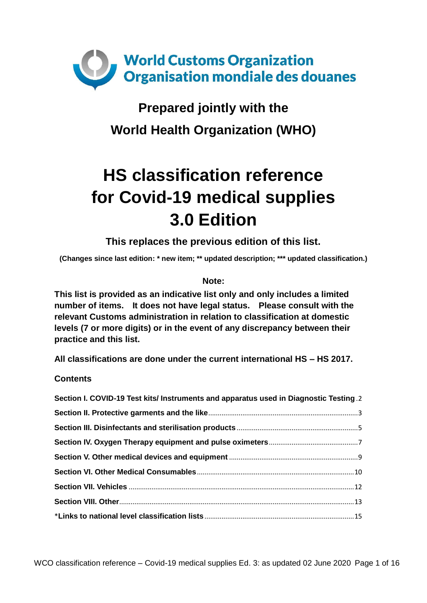

## **Prepared jointly with the World Health Organization (WHO)**

# **HS classification reference for Covid-19 medical supplies 3.0 Edition**

**This replaces the previous edition of this list.**

**(Changes since last edition: \* new item; \*\* updated description; \*\*\* updated classification.)**

#### **Note:**

**This list is provided as an indicative list only and only includes a limited number of items. It does not have legal status. Please consult with the relevant Customs administration in relation to classification at domestic levels (7 or more digits) or in the event of any discrepancy between their practice and this list.** 

**All classifications are done under the current international HS – HS 2017.**

**Contents**

| Section I. COVID-19 Test kits/ Instruments and apparatus used in Diagnostic Testing 2 |  |
|---------------------------------------------------------------------------------------|--|
|                                                                                       |  |
|                                                                                       |  |
|                                                                                       |  |
|                                                                                       |  |
|                                                                                       |  |
|                                                                                       |  |
|                                                                                       |  |
|                                                                                       |  |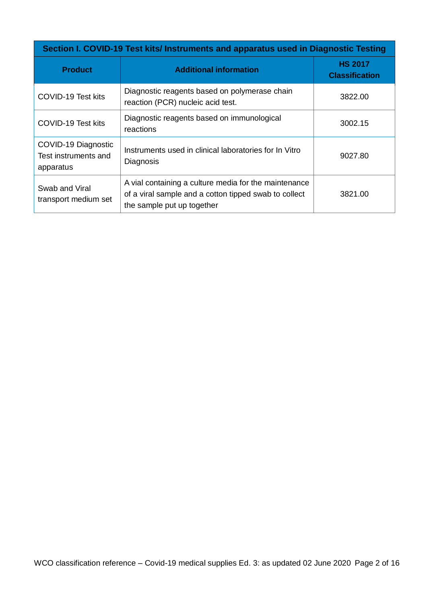<span id="page-1-0"></span>

| Section I. COVID-19 Test kits/Instruments and apparatus used in Diagnostic Testing |                                                                                                                                              |                                         |
|------------------------------------------------------------------------------------|----------------------------------------------------------------------------------------------------------------------------------------------|-----------------------------------------|
| <b>Product</b>                                                                     | <b>Additional information</b>                                                                                                                | <b>HS 2017</b><br><b>Classification</b> |
| COVID-19 Test kits                                                                 | Diagnostic reagents based on polymerase chain<br>reaction (PCR) nucleic acid test.                                                           | 3822.00                                 |
| COVID-19 Test kits                                                                 | Diagnostic reagents based on immunological<br>reactions                                                                                      | 3002.15                                 |
| COVID-19 Diagnostic<br>Test instruments and<br>apparatus                           | Instruments used in clinical laboratories for In Vitro<br>Diagnosis                                                                          | 9027.80                                 |
| Swab and Viral<br>transport medium set                                             | A vial containing a culture media for the maintenance<br>of a viral sample and a cotton tipped swab to collect<br>the sample put up together | 3821.00                                 |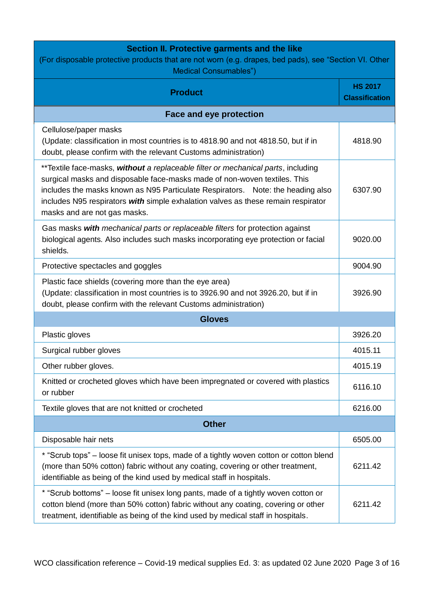## **Section II. Protective garments and the like**

<span id="page-2-0"></span>

| (For disposable protective products that are not worn (e.g. drapes, bed pads), see "Section VI. Other<br><b>Medical Consumables")</b>                                                                                                                                                                                                                                  |                                         |  |
|------------------------------------------------------------------------------------------------------------------------------------------------------------------------------------------------------------------------------------------------------------------------------------------------------------------------------------------------------------------------|-----------------------------------------|--|
| <b>Product</b>                                                                                                                                                                                                                                                                                                                                                         | <b>HS 2017</b><br><b>Classification</b> |  |
| <b>Face and eye protection</b>                                                                                                                                                                                                                                                                                                                                         |                                         |  |
| Cellulose/paper masks<br>(Update: classification in most countries is to 4818.90 and not 4818.50, but if in<br>doubt, please confirm with the relevant Customs administration)                                                                                                                                                                                         | 4818.90                                 |  |
| **Textile face-masks, without a replaceable filter or mechanical parts, including<br>surgical masks and disposable face-masks made of non-woven textiles. This<br>includes the masks known as N95 Particulate Respirators. Note: the heading also<br>includes N95 respirators with simple exhalation valves as these remain respirator<br>masks and are not gas masks. | 6307.90                                 |  |
| Gas masks with mechanical parts or replaceable filters for protection against<br>biological agents. Also includes such masks incorporating eye protection or facial<br>shields.                                                                                                                                                                                        | 9020.00                                 |  |
| Protective spectacles and goggles                                                                                                                                                                                                                                                                                                                                      | 9004.90                                 |  |
| Plastic face shields (covering more than the eye area)<br>(Update: classification in most countries is to 3926.90 and not 3926.20, but if in<br>doubt, please confirm with the relevant Customs administration)                                                                                                                                                        | 3926.90                                 |  |
| <b>Gloves</b>                                                                                                                                                                                                                                                                                                                                                          |                                         |  |
| Plastic gloves                                                                                                                                                                                                                                                                                                                                                         | 3926.20                                 |  |
| Surgical rubber gloves                                                                                                                                                                                                                                                                                                                                                 | 4015.11                                 |  |
| Other rubber gloves.                                                                                                                                                                                                                                                                                                                                                   | 4015.19                                 |  |
| Knitted or crocheted gloves which have been impregnated or covered with plastics<br>or rubber                                                                                                                                                                                                                                                                          | 6116.10                                 |  |
| Textile gloves that are not knitted or crocheted                                                                                                                                                                                                                                                                                                                       | 6216.00                                 |  |
| <b>Other</b>                                                                                                                                                                                                                                                                                                                                                           |                                         |  |
| Disposable hair nets                                                                                                                                                                                                                                                                                                                                                   | 6505.00                                 |  |
| * "Scrub tops" – loose fit unisex tops, made of a tightly woven cotton or cotton blend<br>(more than 50% cotton) fabric without any coating, covering or other treatment,<br>identifiable as being of the kind used by medical staff in hospitals.                                                                                                                     | 6211.42                                 |  |
| * "Scrub bottoms" - loose fit unisex long pants, made of a tightly woven cotton or<br>cotton blend (more than 50% cotton) fabric without any coating, covering or other<br>treatment, identifiable as being of the kind used by medical staff in hospitals.                                                                                                            | 6211.42                                 |  |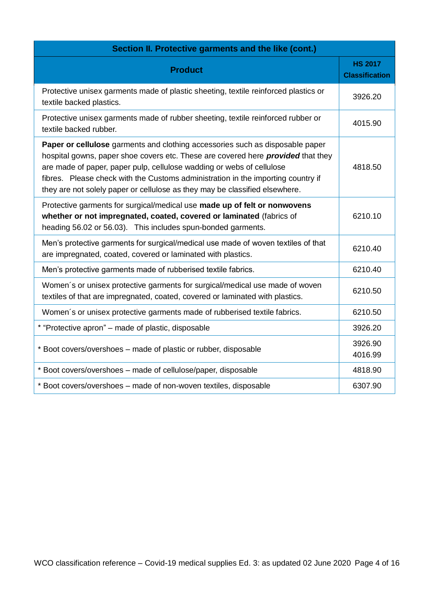| Section II. Protective garments and the like (cont.)                                                                                                                                                                                                                                                                                                                                                                 |                                         |  |
|----------------------------------------------------------------------------------------------------------------------------------------------------------------------------------------------------------------------------------------------------------------------------------------------------------------------------------------------------------------------------------------------------------------------|-----------------------------------------|--|
| <b>Product</b>                                                                                                                                                                                                                                                                                                                                                                                                       | <b>HS 2017</b><br><b>Classification</b> |  |
| Protective unisex garments made of plastic sheeting, textile reinforced plastics or<br>textile backed plastics.                                                                                                                                                                                                                                                                                                      | 3926.20                                 |  |
| Protective unisex garments made of rubber sheeting, textile reinforced rubber or<br>textile backed rubber.                                                                                                                                                                                                                                                                                                           | 4015.90                                 |  |
| Paper or cellulose garments and clothing accessories such as disposable paper<br>hospital gowns, paper shoe covers etc. These are covered here <i>provided</i> that they<br>are made of paper, paper pulp, cellulose wadding or webs of cellulose<br>fibres. Please check with the Customs administration in the importing country if<br>they are not solely paper or cellulose as they may be classified elsewhere. | 4818.50                                 |  |
| Protective garments for surgical/medical use made up of felt or nonwovens<br>whether or not impregnated, coated, covered or laminated (fabrics of<br>heading 56.02 or 56.03). This includes spun-bonded garments.                                                                                                                                                                                                    | 6210.10                                 |  |
| Men's protective garments for surgical/medical use made of woven textiles of that<br>are impregnated, coated, covered or laminated with plastics.                                                                                                                                                                                                                                                                    | 6210.40                                 |  |
| Men's protective garments made of rubberised textile fabrics.                                                                                                                                                                                                                                                                                                                                                        | 6210.40                                 |  |
| Women's or unisex protective garments for surgical/medical use made of woven<br>textiles of that are impregnated, coated, covered or laminated with plastics.                                                                                                                                                                                                                                                        | 6210.50                                 |  |
| Women's or unisex protective garments made of rubberised textile fabrics.                                                                                                                                                                                                                                                                                                                                            | 6210.50                                 |  |
| * "Protective apron" – made of plastic, disposable                                                                                                                                                                                                                                                                                                                                                                   | 3926.20                                 |  |
| * Boot covers/overshoes - made of plastic or rubber, disposable                                                                                                                                                                                                                                                                                                                                                      | 3926.90<br>4016.99                      |  |
| * Boot covers/overshoes - made of cellulose/paper, disposable                                                                                                                                                                                                                                                                                                                                                        | 4818.90                                 |  |
| * Boot covers/overshoes - made of non-woven textiles, disposable                                                                                                                                                                                                                                                                                                                                                     | 6307.90                                 |  |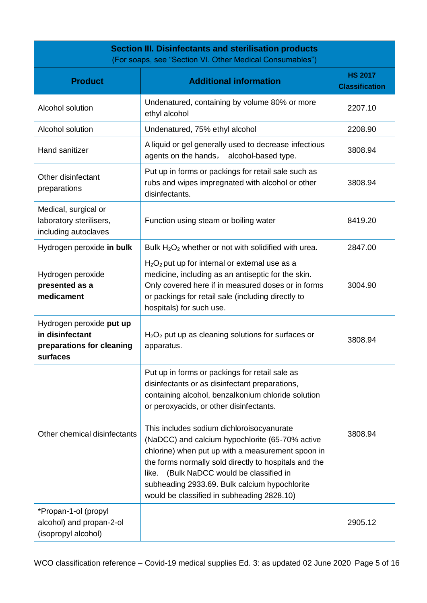<span id="page-4-0"></span>

| <b>Section III. Disinfectants and sterilisation products</b><br>(For soaps, see "Section VI. Other Medical Consumables") |                                                                                                                                                                                                                                                                                                                                                                                                                                                                                                                                                            |                                         |
|--------------------------------------------------------------------------------------------------------------------------|------------------------------------------------------------------------------------------------------------------------------------------------------------------------------------------------------------------------------------------------------------------------------------------------------------------------------------------------------------------------------------------------------------------------------------------------------------------------------------------------------------------------------------------------------------|-----------------------------------------|
| <b>Product</b>                                                                                                           | <b>Additional information</b>                                                                                                                                                                                                                                                                                                                                                                                                                                                                                                                              | <b>HS 2017</b><br><b>Classification</b> |
| Alcohol solution                                                                                                         | Undenatured, containing by volume 80% or more<br>ethyl alcohol                                                                                                                                                                                                                                                                                                                                                                                                                                                                                             | 2207.10                                 |
| Alcohol solution                                                                                                         | Undenatured, 75% ethyl alcohol                                                                                                                                                                                                                                                                                                                                                                                                                                                                                                                             | 2208.90                                 |
| Hand sanitizer                                                                                                           | A liquid or gel generally used to decrease infectious<br>agents on the hands, alcohol-based type.                                                                                                                                                                                                                                                                                                                                                                                                                                                          | 3808.94                                 |
| Other disinfectant<br>preparations                                                                                       | Put up in forms or packings for retail sale such as<br>rubs and wipes impregnated with alcohol or other<br>disinfectants.                                                                                                                                                                                                                                                                                                                                                                                                                                  | 3808.94                                 |
| Medical, surgical or<br>laboratory sterilisers,<br>including autoclaves                                                  | Function using steam or boiling water                                                                                                                                                                                                                                                                                                                                                                                                                                                                                                                      | 8419.20                                 |
| Hydrogen peroxide in bulk                                                                                                | Bulk $H_2O_2$ whether or not with solidified with urea.                                                                                                                                                                                                                                                                                                                                                                                                                                                                                                    | 2847.00                                 |
| Hydrogen peroxide<br>presented as a<br>medicament                                                                        | $H_2O_2$ put up for internal or external use as a<br>medicine, including as an antiseptic for the skin.<br>Only covered here if in measured doses or in forms<br>or packings for retail sale (including directly to<br>hospitals) for such use.                                                                                                                                                                                                                                                                                                            | 3004.90                                 |
| Hydrogen peroxide put up<br>in disinfectant<br>preparations for cleaning<br>surfaces                                     | $H2O2$ put up as cleaning solutions for surfaces or<br>apparatus.                                                                                                                                                                                                                                                                                                                                                                                                                                                                                          | 3808.94                                 |
| Other chemical disinfectants                                                                                             | Put up in forms or packings for retail sale as<br>disinfectants or as disinfectant preparations,<br>containing alcohol, benzalkonium chloride solution<br>or peroxyacids, or other disinfectants.<br>This includes sodium dichloroisocyanurate<br>(NaDCC) and calcium hypochlorite (65-70% active<br>chlorine) when put up with a measurement spoon in<br>the forms normally sold directly to hospitals and the<br>like. (Bulk NaDCC would be classified in<br>subheading 2933.69. Bulk calcium hypochlorite<br>would be classified in subheading 2828.10) | 3808.94                                 |
| *Propan-1-ol (propyl<br>alcohol) and propan-2-ol<br>(isopropyl alcohol)                                                  |                                                                                                                                                                                                                                                                                                                                                                                                                                                                                                                                                            | 2905.12                                 |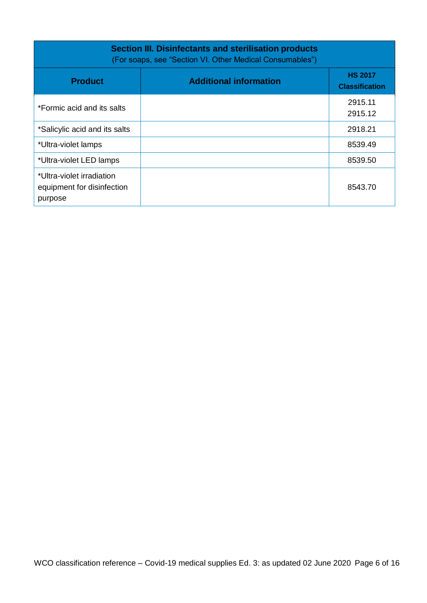| Section III. Disinfectants and sterilisation products<br>(For soaps, see "Section VI. Other Medical Consumables") |                               |                                         |
|-------------------------------------------------------------------------------------------------------------------|-------------------------------|-----------------------------------------|
| <b>Product</b>                                                                                                    | <b>Additional information</b> | <b>HS 2017</b><br><b>Classification</b> |
| *Formic acid and its salts                                                                                        |                               | 2915.11<br>2915.12                      |
| *Salicylic acid and its salts                                                                                     |                               | 2918.21                                 |
| *Ultra-violet lamps                                                                                               |                               | 8539.49                                 |
| *Ultra-violet LED lamps                                                                                           |                               | 8539.50                                 |
| *Ultra-violet irradiation<br>equipment for disinfection<br>purpose                                                |                               | 8543.70                                 |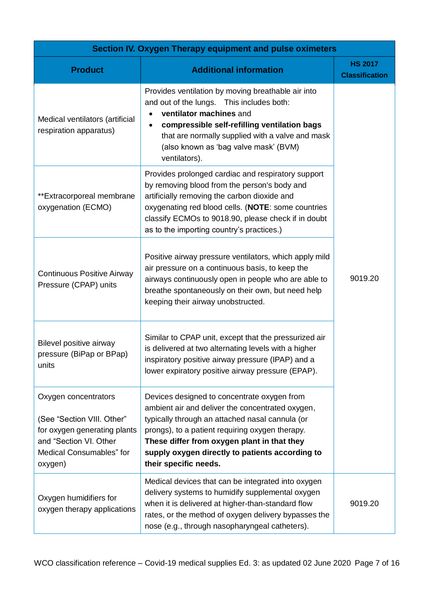<span id="page-6-0"></span>

| Section IV. Oxygen Therapy equipment and pulse oximeters                                                                                            |                                                                                                                                                                                                                                                                                                                                  |                                         |
|-----------------------------------------------------------------------------------------------------------------------------------------------------|----------------------------------------------------------------------------------------------------------------------------------------------------------------------------------------------------------------------------------------------------------------------------------------------------------------------------------|-----------------------------------------|
| <b>Product</b>                                                                                                                                      | <b>Additional information</b>                                                                                                                                                                                                                                                                                                    | <b>HS 2017</b><br><b>Classification</b> |
| Medical ventilators (artificial<br>respiration apparatus)                                                                                           | Provides ventilation by moving breathable air into<br>and out of the lungs. This includes both:<br>ventilator machines and<br>compressible self-refilling ventilation bags<br>that are normally supplied with a valve and mask<br>(also known as 'bag valve mask' (BVM)<br>ventilators).                                         |                                         |
| **Extracorporeal membrane<br>oxygenation (ECMO)                                                                                                     | Provides prolonged cardiac and respiratory support<br>by removing blood from the person's body and<br>artificially removing the carbon dioxide and<br>oxygenating red blood cells. (NOTE: some countries<br>classify ECMOs to 9018.90, please check if in doubt<br>as to the importing country's practices.)                     |                                         |
| <b>Continuous Positive Airway</b><br>Pressure (CPAP) units                                                                                          | Positive airway pressure ventilators, which apply mild<br>air pressure on a continuous basis, to keep the<br>airways continuously open in people who are able to<br>breathe spontaneously on their own, but need help<br>keeping their airway unobstructed.                                                                      | 9019.20                                 |
| Bilevel positive airway<br>pressure (BiPap or BPap)<br>units                                                                                        | Similar to CPAP unit, except that the pressurized air<br>is delivered at two alternating levels with a higher<br>inspiratory positive airway pressure (IPAP) and a<br>lower expiratory positive airway pressure (EPAP).                                                                                                          |                                         |
| Oxygen concentrators<br>(See "Section VIII. Other"<br>for oxygen generating plants<br>and "Section VI. Other<br>Medical Consumables" for<br>oxygen) | Devices designed to concentrate oxygen from<br>ambient air and deliver the concentrated oxygen,<br>typically through an attached nasal cannula (or<br>prongs), to a patient requiring oxygen therapy.<br>These differ from oxygen plant in that they<br>supply oxygen directly to patients according to<br>their specific needs. |                                         |
| Oxygen humidifiers for<br>oxygen therapy applications                                                                                               | Medical devices that can be integrated into oxygen<br>delivery systems to humidify supplemental oxygen<br>when it is delivered at higher-than-standard flow<br>rates, or the method of oxygen delivery bypasses the<br>nose (e.g., through nasopharyngeal catheters).                                                            | 9019.20                                 |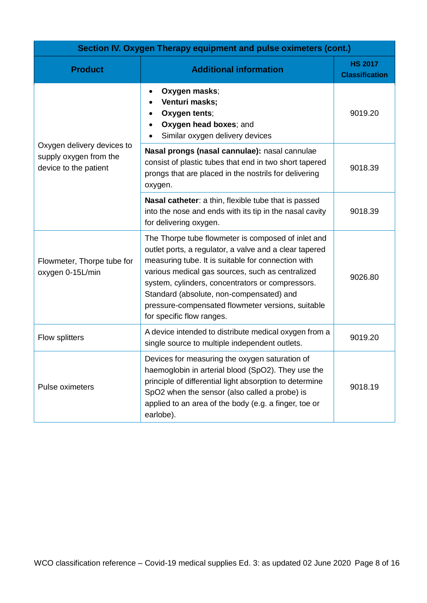| Section IV. Oxygen Therapy equipment and pulse oximeters (cont.)              |                                                                                                                                                                                                                                                                                                                                                                                                          |                                         |
|-------------------------------------------------------------------------------|----------------------------------------------------------------------------------------------------------------------------------------------------------------------------------------------------------------------------------------------------------------------------------------------------------------------------------------------------------------------------------------------------------|-----------------------------------------|
| <b>Product</b>                                                                | <b>Additional information</b>                                                                                                                                                                                                                                                                                                                                                                            | <b>HS 2017</b><br><b>Classification</b> |
|                                                                               | Oxygen masks;<br>$\bullet$<br>Venturi masks;<br>Oxygen tents;<br>Oxygen head boxes; and<br>Similar oxygen delivery devices                                                                                                                                                                                                                                                                               | 9019.20                                 |
| Oxygen delivery devices to<br>supply oxygen from the<br>device to the patient | Nasal prongs (nasal cannulae): nasal cannulae<br>consist of plastic tubes that end in two short tapered<br>prongs that are placed in the nostrils for delivering<br>oxygen.                                                                                                                                                                                                                              | 9018.39                                 |
|                                                                               | Nasal catheter: a thin, flexible tube that is passed<br>into the nose and ends with its tip in the nasal cavity<br>for delivering oxygen.                                                                                                                                                                                                                                                                | 9018.39                                 |
| Flowmeter, Thorpe tube for<br>oxygen 0-15L/min                                | The Thorpe tube flowmeter is composed of inlet and<br>outlet ports, a regulator, a valve and a clear tapered<br>measuring tube. It is suitable for connection with<br>various medical gas sources, such as centralized<br>system, cylinders, concentrators or compressors.<br>Standard (absolute, non-compensated) and<br>pressure-compensated flowmeter versions, suitable<br>for specific flow ranges. | 9026.80                                 |
| Flow splitters                                                                | A device intended to distribute medical oxygen from a<br>single source to multiple independent outlets.                                                                                                                                                                                                                                                                                                  | 9019.20                                 |
| Pulse oximeters                                                               | Devices for measuring the oxygen saturation of<br>haemoglobin in arterial blood (SpO2). They use the<br>principle of differential light absorption to determine<br>SpO2 when the sensor (also called a probe) is<br>applied to an area of the body (e.g. a finger, toe or<br>earlobe).                                                                                                                   | 9018.19                                 |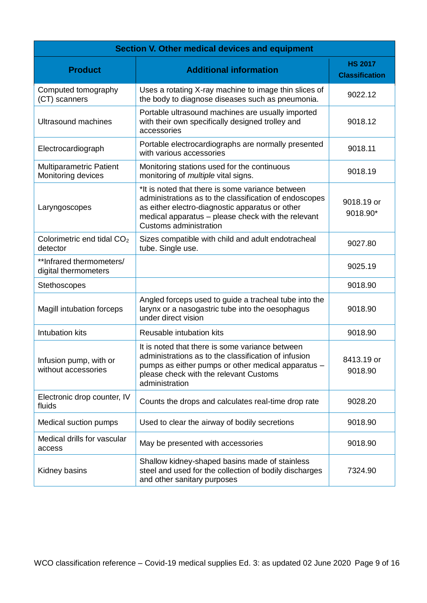<span id="page-8-0"></span>

| Section V. Other medical devices and equipment       |                                                                                                                                                                                                                                                      |                                         |
|------------------------------------------------------|------------------------------------------------------------------------------------------------------------------------------------------------------------------------------------------------------------------------------------------------------|-----------------------------------------|
| <b>Product</b>                                       | <b>Additional information</b>                                                                                                                                                                                                                        | <b>HS 2017</b><br><b>Classification</b> |
| Computed tomography<br>(CT) scanners                 | Uses a rotating X-ray machine to image thin slices of<br>the body to diagnose diseases such as pneumonia.                                                                                                                                            | 9022.12                                 |
| <b>Ultrasound machines</b>                           | Portable ultrasound machines are usually imported<br>with their own specifically designed trolley and<br>accessories                                                                                                                                 | 9018.12                                 |
| Electrocardiograph                                   | Portable electrocardiographs are normally presented<br>with various accessories                                                                                                                                                                      | 9018.11                                 |
| <b>Multiparametric Patient</b><br>Monitoring devices | Monitoring stations used for the continuous<br>monitoring of <i>multiple</i> vital signs.                                                                                                                                                            | 9018.19                                 |
| Laryngoscopes                                        | *It is noted that there is some variance between<br>administrations as to the classification of endoscopes<br>as either electro-diagnostic apparatus or other<br>medical apparatus - please check with the relevant<br><b>Customs administration</b> | 9018.19 or<br>9018.90*                  |
| Colorimetric end tidal CO <sub>2</sub><br>detector   | Sizes compatible with child and adult endotracheal<br>tube. Single use.                                                                                                                                                                              | 9027.80                                 |
| ** Infrared thermometers/<br>digital thermometers    |                                                                                                                                                                                                                                                      | 9025.19                                 |
| Stethoscopes                                         |                                                                                                                                                                                                                                                      | 9018.90                                 |
| Magill intubation forceps                            | Angled forceps used to guide a tracheal tube into the<br>larynx or a nasogastric tube into the oesophagus<br>under direct vision                                                                                                                     | 9018.90                                 |
| <b>Intubation kits</b>                               | Reusable intubation kits                                                                                                                                                                                                                             | 9018.90                                 |
| Infusion pump, with or<br>without accessories        | It is noted that there is some variance between<br>administrations as to the classification of infusion<br>pumps as either pumps or other medical apparatus -<br>please check with the relevant Customs<br>administration                            | 8413.19 or<br>9018.90                   |
| Electronic drop counter, IV<br>fluids                | Counts the drops and calculates real-time drop rate                                                                                                                                                                                                  | 9028.20                                 |
| Medical suction pumps                                | Used to clear the airway of bodily secretions                                                                                                                                                                                                        | 9018.90                                 |
| Medical drills for vascular<br>access                | May be presented with accessories                                                                                                                                                                                                                    | 9018.90                                 |
| Kidney basins                                        | Shallow kidney-shaped basins made of stainless<br>steel and used for the collection of bodily discharges<br>and other sanitary purposes                                                                                                              | 7324.90                                 |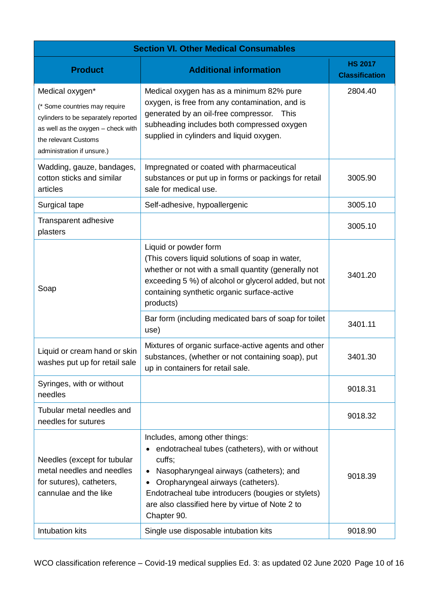<span id="page-9-0"></span>

| <b>Section VI. Other Medical Consumables</b>                                                                                                                                        |                                                                                                                                                                                                                                                                                                                               |                                         |
|-------------------------------------------------------------------------------------------------------------------------------------------------------------------------------------|-------------------------------------------------------------------------------------------------------------------------------------------------------------------------------------------------------------------------------------------------------------------------------------------------------------------------------|-----------------------------------------|
| <b>Product</b>                                                                                                                                                                      | <b>Additional information</b>                                                                                                                                                                                                                                                                                                 | <b>HS 2017</b><br><b>Classification</b> |
| Medical oxygen*<br>(* Some countries may require<br>cylinders to be separately reported<br>as well as the oxygen - check with<br>the relevant Customs<br>administration if unsure.) | Medical oxygen has as a minimum 82% pure<br>oxygen, is free from any contamination, and is<br>generated by an oil-free compressor.<br>This<br>subheading includes both compressed oxygen<br>supplied in cylinders and liquid oxygen.                                                                                          | 2804.40                                 |
| Wadding, gauze, bandages,<br>cotton sticks and similar<br>articles                                                                                                                  | Impregnated or coated with pharmaceutical<br>substances or put up in forms or packings for retail<br>sale for medical use.                                                                                                                                                                                                    | 3005.90                                 |
| Surgical tape                                                                                                                                                                       | Self-adhesive, hypoallergenic                                                                                                                                                                                                                                                                                                 | 3005.10                                 |
| Transparent adhesive<br>plasters                                                                                                                                                    |                                                                                                                                                                                                                                                                                                                               | 3005.10                                 |
| Soap                                                                                                                                                                                | Liquid or powder form<br>(This covers liquid solutions of soap in water,<br>whether or not with a small quantity (generally not<br>exceeding 5 %) of alcohol or glycerol added, but not<br>containing synthetic organic surface-active<br>products)                                                                           | 3401.20                                 |
|                                                                                                                                                                                     | Bar form (including medicated bars of soap for toilet<br>use)                                                                                                                                                                                                                                                                 | 3401.11                                 |
| Liquid or cream hand or skin<br>washes put up for retail sale                                                                                                                       | Mixtures of organic surface-active agents and other<br>substances, (whether or not containing soap), put<br>up in containers for retail sale.                                                                                                                                                                                 | 3401.30                                 |
| Syringes, with or without<br>needles                                                                                                                                                |                                                                                                                                                                                                                                                                                                                               | 9018.31                                 |
| Tubular metal needles and<br>needles for sutures                                                                                                                                    |                                                                                                                                                                                                                                                                                                                               | 9018.32                                 |
| Needles (except for tubular<br>metal needles and needles<br>for sutures), catheters,<br>cannulae and the like                                                                       | Includes, among other things:<br>endotracheal tubes (catheters), with or without<br>cuffs;<br>Nasopharyngeal airways (catheters); and<br>$\bullet$<br>Oropharyngeal airways (catheters).<br>$\bullet$<br>Endotracheal tube introducers (bougies or stylets)<br>are also classified here by virtue of Note 2 to<br>Chapter 90. | 9018.39                                 |
| Intubation kits                                                                                                                                                                     | Single use disposable intubation kits                                                                                                                                                                                                                                                                                         | 9018.90                                 |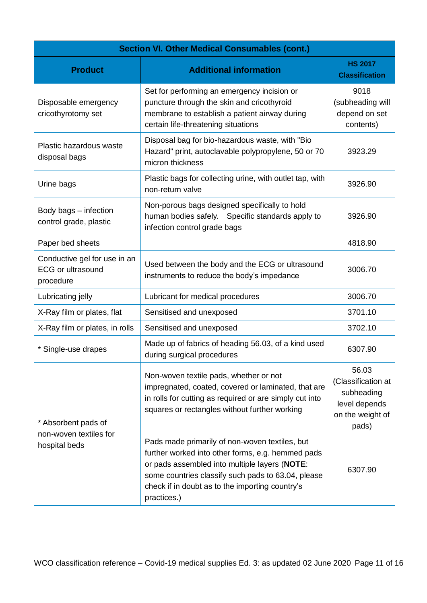| <b>Section VI. Other Medical Consumables (cont.)</b>                  |                                                                                                                                                                                                                                                                              |                                                                                         |
|-----------------------------------------------------------------------|------------------------------------------------------------------------------------------------------------------------------------------------------------------------------------------------------------------------------------------------------------------------------|-----------------------------------------------------------------------------------------|
| <b>Product</b>                                                        | <b>Additional information</b>                                                                                                                                                                                                                                                | <b>HS 2017</b><br><b>Classification</b>                                                 |
| Disposable emergency<br>cricothyrotomy set                            | Set for performing an emergency incision or<br>puncture through the skin and cricothyroid<br>membrane to establish a patient airway during<br>certain life-threatening situations                                                                                            | 9018<br>(subheading will<br>depend on set<br>contents)                                  |
| Plastic hazardous waste<br>disposal bags                              | Disposal bag for bio-hazardous waste, with "Bio<br>Hazard" print, autoclavable polypropylene, 50 or 70<br>micron thickness                                                                                                                                                   | 3923.29                                                                                 |
| Urine bags                                                            | Plastic bags for collecting urine, with outlet tap, with<br>non-return valve                                                                                                                                                                                                 | 3926.90                                                                                 |
| Body bags - infection<br>control grade, plastic                       | Non-porous bags designed specifically to hold<br>human bodies safely. Specific standards apply to<br>infection control grade bags                                                                                                                                            | 3926.90                                                                                 |
| Paper bed sheets                                                      |                                                                                                                                                                                                                                                                              | 4818.90                                                                                 |
| Conductive gel for use in an<br><b>ECG or ultrasound</b><br>procedure | Used between the body and the ECG or ultrasound<br>instruments to reduce the body's impedance                                                                                                                                                                                | 3006.70                                                                                 |
| Lubricating jelly                                                     | Lubricant for medical procedures                                                                                                                                                                                                                                             | 3006.70                                                                                 |
| X-Ray film or plates, flat                                            | Sensitised and unexposed                                                                                                                                                                                                                                                     | 3701.10                                                                                 |
| X-Ray film or plates, in rolls                                        | Sensitised and unexposed                                                                                                                                                                                                                                                     | 3702.10                                                                                 |
| * Single-use drapes                                                   | Made up of fabrics of heading 56.03, of a kind used<br>during surgical procedures                                                                                                                                                                                            | 6307.90                                                                                 |
| * Absorbent pads of<br>non-woven textiles for<br>hospital beds        | Non-woven textile pads, whether or not<br>impregnated, coated, covered or laminated, that are<br>in rolls for cutting as required or are simply cut into<br>squares or rectangles without further working                                                                    | 56.03<br>(Classification at<br>subheading<br>level depends<br>on the weight of<br>pads) |
|                                                                       | Pads made primarily of non-woven textiles, but<br>further worked into other forms, e.g. hemmed pads<br>or pads assembled into multiple layers (NOTE:<br>some countries classify such pads to 63.04, please<br>check if in doubt as to the importing country's<br>practices.) | 6307.90                                                                                 |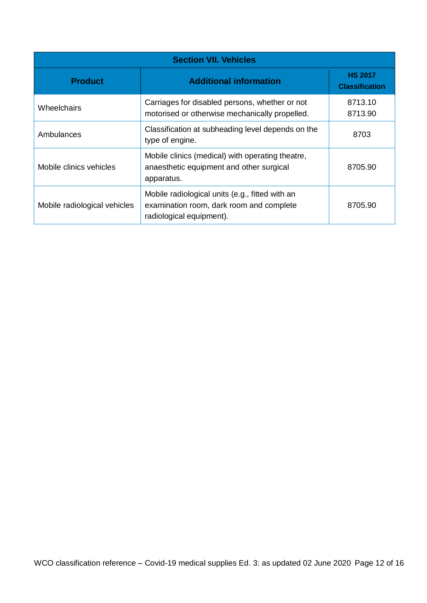<span id="page-11-0"></span>

| <b>Section VII. Vehicles</b> |                                                                                                                         |                                         |
|------------------------------|-------------------------------------------------------------------------------------------------------------------------|-----------------------------------------|
| <b>Product</b>               | <b>Additional information</b>                                                                                           | <b>HS 2017</b><br><b>Classification</b> |
| Wheelchairs                  | Carriages for disabled persons, whether or not<br>motorised or otherwise mechanically propelled.                        | 8713.10<br>8713.90                      |
| Ambulances                   | Classification at subheading level depends on the<br>type of engine.                                                    | 8703                                    |
| Mobile clinics vehicles      | Mobile clinics (medical) with operating theatre,<br>anaesthetic equipment and other surgical<br>apparatus.              | 8705.90                                 |
| Mobile radiological vehicles | Mobile radiological units (e.g., fitted with an<br>examination room, dark room and complete<br>radiological equipment). | 8705.90                                 |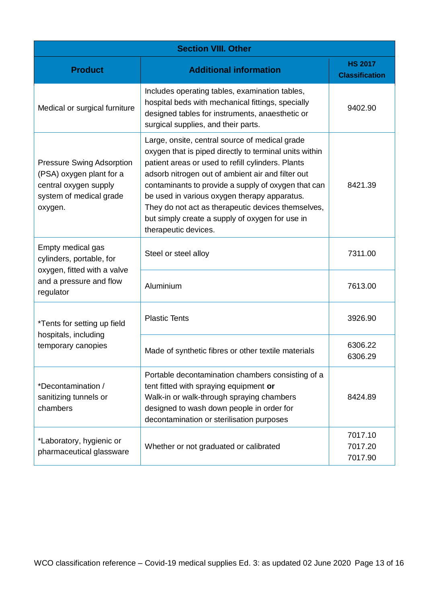<span id="page-12-0"></span>

| <b>Section VIII. Other</b>                                                                                                  |                                                                                                                                                                                                                                                                                                                                                                                                                                                            |                                         |
|-----------------------------------------------------------------------------------------------------------------------------|------------------------------------------------------------------------------------------------------------------------------------------------------------------------------------------------------------------------------------------------------------------------------------------------------------------------------------------------------------------------------------------------------------------------------------------------------------|-----------------------------------------|
| <b>Product</b>                                                                                                              | <b>Additional information</b>                                                                                                                                                                                                                                                                                                                                                                                                                              | <b>HS 2017</b><br><b>Classification</b> |
| Medical or surgical furniture                                                                                               | Includes operating tables, examination tables,<br>hospital beds with mechanical fittings, specially<br>designed tables for instruments, anaesthetic or<br>surgical supplies, and their parts.                                                                                                                                                                                                                                                              | 9402.90                                 |
| <b>Pressure Swing Adsorption</b><br>(PSA) oxygen plant for a<br>central oxygen supply<br>system of medical grade<br>oxygen. | Large, onsite, central source of medical grade<br>oxygen that is piped directly to terminal units within<br>patient areas or used to refill cylinders. Plants<br>adsorb nitrogen out of ambient air and filter out<br>contaminants to provide a supply of oxygen that can<br>be used in various oxygen therapy apparatus.<br>They do not act as therapeutic devices themselves,<br>but simply create a supply of oxygen for use in<br>therapeutic devices. | 8421.39                                 |
| Empty medical gas<br>cylinders, portable, for<br>oxygen, fitted with a valve<br>and a pressure and flow<br>regulator        | Steel or steel alloy                                                                                                                                                                                                                                                                                                                                                                                                                                       | 7311.00                                 |
|                                                                                                                             | Aluminium                                                                                                                                                                                                                                                                                                                                                                                                                                                  | 7613.00                                 |
| *Tents for setting up field<br>hospitals, including<br>temporary canopies                                                   | <b>Plastic Tents</b>                                                                                                                                                                                                                                                                                                                                                                                                                                       | 3926.90                                 |
|                                                                                                                             | Made of synthetic fibres or other textile materials                                                                                                                                                                                                                                                                                                                                                                                                        | 6306.22<br>6306.29                      |
| *Decontamination /<br>sanitizing tunnels or<br>chambers                                                                     | Portable decontamination chambers consisting of a<br>tent fitted with spraying equipment or<br>Walk-in or walk-through spraying chambers<br>designed to wash down people in order for<br>decontamination or sterilisation purposes                                                                                                                                                                                                                         | 8424.89                                 |
| *Laboratory, hygienic or<br>pharmaceutical glassware                                                                        | Whether or not graduated or calibrated                                                                                                                                                                                                                                                                                                                                                                                                                     | 7017.10<br>7017.20<br>7017.90           |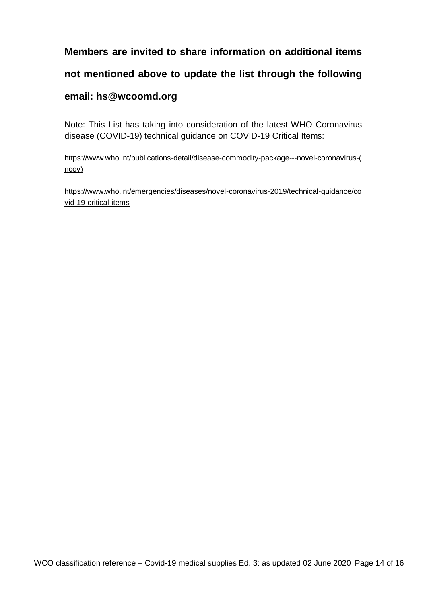## **Members are invited to share information on additional items not mentioned above to update the list through the following email: hs@wcoomd.org**

Note: This List has taking into consideration of the latest WHO Coronavirus disease (COVID-19) technical guidance on COVID-19 Critical Items:

[https://www.who.int/publications-detail/disease-commodity-package---novel-coronavirus-\(](https://www.who.int/publications-detail/disease-commodity-package---novel-coronavirus-(ncov)) [ncov\)](https://www.who.int/publications-detail/disease-commodity-package---novel-coronavirus-(ncov))

[https://www.who.int/emergencies/diseases/novel-coronavirus-2019/technical-guidance/co](https://www.who.int/emergencies/diseases/novel-coronavirus-2019/technical-guidance/covid-19-critical-items) [vid-19-critical-items](https://www.who.int/emergencies/diseases/novel-coronavirus-2019/technical-guidance/covid-19-critical-items)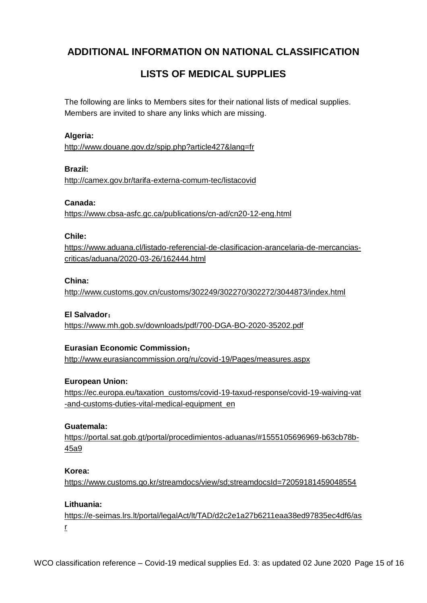### <span id="page-14-0"></span>**ADDITIONAL INFORMATION ON NATIONAL CLASSIFICATION**

### **LISTS OF MEDICAL SUPPLIES**

The following are links to Members sites for their national lists of medical supplies. Members are invited to share any links which are missing.

#### **Algeria:**

<http://www.douane.gov.dz/spip.php?article427&lang=fr>

#### **Brazil:**

<http://camex.gov.br/tarifa-externa-comum-tec/listacovid>

#### **Canada:**

<https://www.cbsa-asfc.gc.ca/publications/cn-ad/cn20-12-eng.html>

#### **Chile:**

[https://www.aduana.cl/listado-referencial-de-clasificacion-arancelaria-de-mercancias](https://www.aduana.cl/listado-referencial-de-clasificacion-arancelaria-de-mercancias-criticas/aduana/2020-03-26/162444.html)[criticas/aduana/2020-03-26/162444.html](https://www.aduana.cl/listado-referencial-de-clasificacion-arancelaria-de-mercancias-criticas/aduana/2020-03-26/162444.html)

#### **China:**

<http://www.customs.gov.cn/customs/302249/302270/302272/3044873/index.html>

#### **El Salvador**:

<https://www.mh.gob.sv/downloads/pdf/700-DGA-BO-2020-35202.pdf>

#### **Eurasian Economic Commission**:

<http://www.eurasiancommission.org/ru/covid-19/Pages/measures.aspx>

#### **European Union:**

[https://ec.europa.eu/taxation\\_customs/covid-19-taxud-response/covid-19-waiving-vat](https://ec.europa.eu/taxation_customs/covid-19-taxud-response/covid-19-waiving-vat-and-customs-duties-vital-medical-equipment_en) [-and-customs-duties-vital-medical-equipment\\_en](https://ec.europa.eu/taxation_customs/covid-19-taxud-response/covid-19-waiving-vat-and-customs-duties-vital-medical-equipment_en)

#### **Guatemala:**

[https://portal.sat.gob.gt/portal/procedimientos-aduanas/#1555105696969-b63cb78b-](https://portal.sat.gob.gt/portal/procedimientos-aduanas/#1555105696969-b63cb78b-45a9)[45a9](https://portal.sat.gob.gt/portal/procedimientos-aduanas/#1555105696969-b63cb78b-45a9)

#### **Korea:**

<https://www.customs.go.kr/streamdocs/view/sd;streamdocsId=72059181459048554>

#### **Lithuania:**

[https://e-seimas.lrs.lt/portal/legalAct/lt/TAD/d2c2e1a27b6211eaa38ed97835ec4df6/as](https://e-seimas.lrs.lt/portal/legalAct/lt/TAD/d2c2e1a27b6211eaa38ed97835ec4df6/asr) [r](https://e-seimas.lrs.lt/portal/legalAct/lt/TAD/d2c2e1a27b6211eaa38ed97835ec4df6/asr)